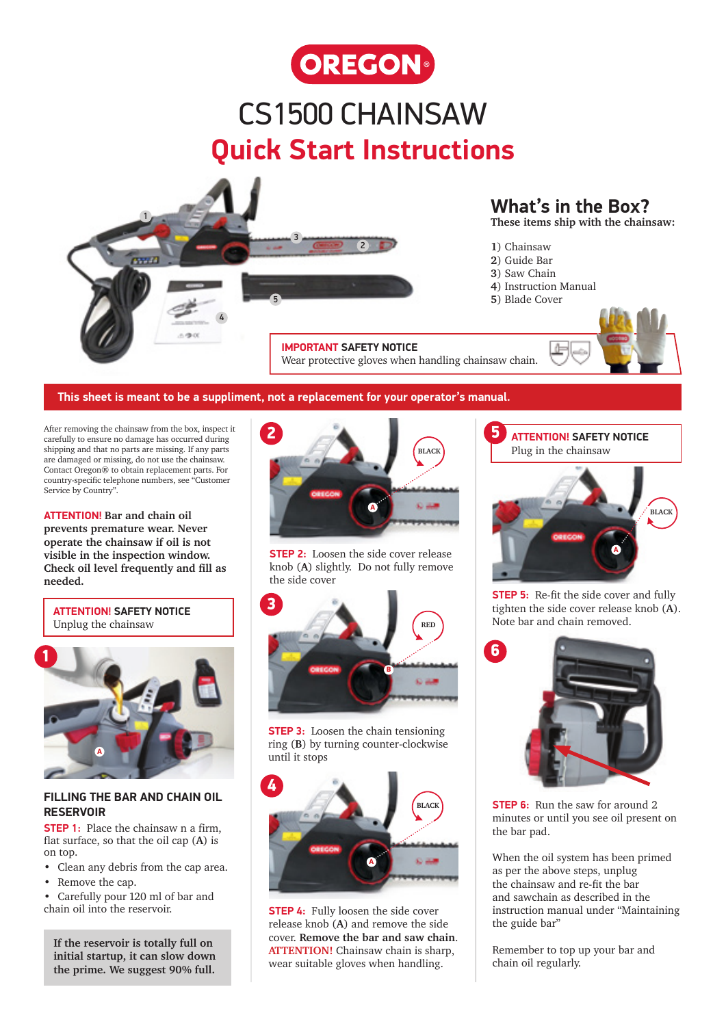

## CS1500 CHAINSAW **Quick Start Instructions**



### **What's in the Box?**

**These items ship with the chainsaw:**

- **1**) Chainsaw
- **2**) Guide Bar
- **3**) Saw Chain
- **4**) Instruction Manual
- 5 **5**) Blade Cover



#### **This sheet is meant to be a suppliment, not a replacement for your operator's manual.**

After removing the chainsaw from the box, inspect it carefully to ensure no damage has occurred during shipping and that no parts are missing. If any parts are damaged or missing, do not use the chainsaw. Contact Oregon® to obtain replacement parts. For country-specific telephone numbers, see "Customer Service by Country".

**ATTENTION! Bar and chain oil prevents premature wear. Never operate the chainsaw if oil is not visible in the inspection window. Check oil level frequently and fill as needed.** 





#### **FILLING THE BAR AND CHAIN OIL RESERVOIR**

**STEP 1:** Place the chainsaw n a firm, flat surface, so that the oil cap (**A**) is on top.

- Clean any debris from the cap area.
- Remove the cap.

• Carefully pour 120 ml of bar and chain oil into the reservoir.

**If the reservoir is totally full on initial startup, it can slow down the prime. We suggest 90% full.**



**STEP 2:** Loosen the side cover release knob (**A**) slightly. Do not fully remove the side cover



**STEP 3:** Loosen the chain tensioning ring (**B**) by turning counter-clockwise until it stops



**STEP 4:** Fully loosen the side cover release knob (**A**) and remove the side cover. **Remove the bar and saw chain**. **ATTENTION!** Chainsaw chain is sharp, wear suitable gloves when handling.



**STEP 5:** Re-fit the side cover and fully tighten the side cover release knob (**A**). **RED** Note bar and chain removed.



**STEP 6:** Run the saw for around 2. minutes or until you see oil present on the bar pad.

When the oil system has been primed as per the above steps, unplug the chainsaw and re-fit the bar and sawchain as described in the instruction manual under "Maintaining the guide bar"

Remember to top up your bar and chain oil regularly.